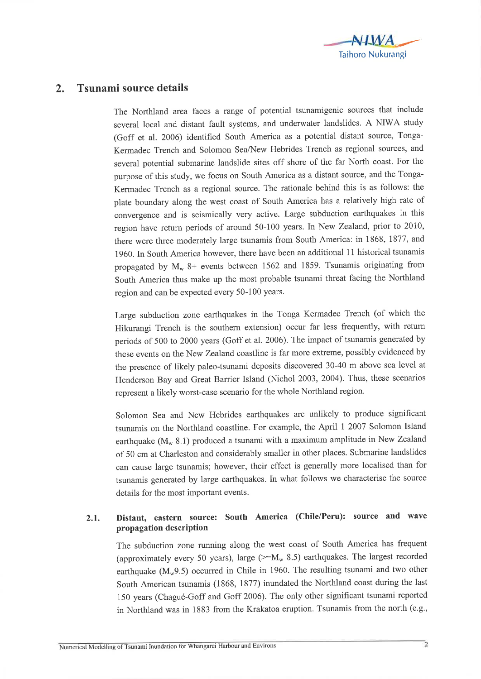

## 2. Tsunami source details

The Northland area faces a range of potential tsunamigenic sources that include several local and distant fault systems, and underwater landslides. A NIWA study (Goff et al. 2006) identified South America as a potential distant source, Tonga-Kermadec Trench and Solomon Sea/New Hebrides Trench as regional sources, and several potential submarine landslide sites off shore of the far North coast. For the purpose of this study, we focus on South America as a distant source, and the Tonga-Kermadec Trench as a regional source. The rationale behind this is as follows: the plate boundary along the west coast of South America has a relatively high rate of convergence and is seismically very active. Large subduction earthquakes in this region have return periods of around 50-100 years. In New Zealand, prior to 2010, there were three moderately large tsunamis from South America: in 1868, 1877, and 1960. In South America however, there have been an additional 1l historical tsunamis propagated by  $M_w$  8+ events between 1562 and 1859. Tsunamis originating from South America thus make up the most probable tsunami threat facing the Northland region and can be expected every 50-100 years.

Large subduction zone earthquakes in the Tonga Kermadec Trench (of which the Hikurangi Trench is the southern extension) occur far less frequently, with retum. periods of 500 to 2000 years (Goff et al. 2006). The impact of tsunamis generated by these events on the New Zealand coastline is far more extreme, possibly evidenced by the presence of likely paleo-tsunami deposits discovered 30-40 m above sea level at Henderson Bay and Great Barrier Island (Nichol 2003,2004). Thus, these scenarios represent a likely worst-case scenario for the whole Northland region.

Solomon Sea and New Hebrides earthquakes are unlikely to produce significant tsunamis on the Northland coastline. For example, the April 1 2007 Solomon Island earthquake ( $M_w$  8.1) produced a tsunami with a maximum amplitude in New Zealand of 50 cm at Charleston and considerably smaller in other places. Submarine landslides can cause large tsunamis; however, their effect is generally more localised than for tsunamis generated by large earthquakes. In what follows we characterise the source details for the most important events.

## 2.1. Distant, eastern source: South America (Chile/Peru): source and wave propagation description

The subduction zone running along the west coast of South America has frequent (approximately every 50 years), large ( $>=M_w 8.5$ ) earthquakes. The largest recorded earthquake ( $M_{w}9.5$ ) occurred in Chile in 1960. The resulting tsunami and two other South American tsunamis (1868, 1877) inundated the Northland coast during the last 150 years (Chagué-Goff and Goff 2006). The only other significant tsunami reported in Northland was in 1883 from the Krakatoa eruption. Tsunamis from the north (e.g.,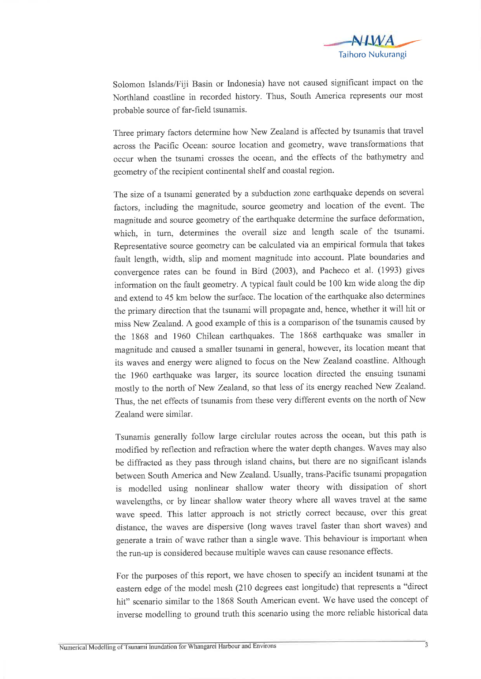

Solomon Islands/Fiji Basin or Indonesia) have not caused significant impact on the Northland coastline in recorded history. Thus, South America represents our most probable source of far-field tsunamis.

Three primary factors determine how New Zealand is affected by tsunamis that travel across the Pacific Ocean: source location and geometry, wave transformations that occur when the tsunami crosses the ocean, and the effects of the bathymetry and geometry of the recipient continental shelf and coastal region.

The size of a tsunami generated by a subduction zone earthquake depends on several factors, including the magnitude, source geometry and location of the event. The magnitude and source geometry of the earthquake determine the surface deformation, which, in turn, determines the overall size and length scale of the tsunami. Representative source geometry can be calculated via an empirical formula that takes fault length, width, slip and moment magnitude into account. Plate boundaries and convergence rates can be found in Bird (2003), and Pacheco et al. (1993) gives information on the fault geometry. A typical fault could be 100 km wide along the dip and extend to 45 km below the surface. The location of the earthquake also determines the primary direction that the tsunami will propagate and, hence, whether it will hit or miss New Zealand. A good example of this is a comparison of the tsunamis caused by the 1868 and 1960 Chilean earthquakes. The 1868 earthquake was smaller in magnitude and caused a smaller tsunami in general, however, its location meant that its waves and energy were aligned to focus on the New Zealand coastline. Although the 1960 earthquake was larger, its source location directed the ensuing tsunami mostly to the north of New Zealand, so that less of its energy reached New Zealand. Thus, the net effects of tsunamis from these very different events on the north of New Zealand were similar.

Tsunamis generally follow large circlular routes across the ocean, but this path is modified by reflection and refraction where the water depth changes. Waves may also be diffracted as they pass through island chains, but there are no significant islands between South America and New Zealand. Usually, trans-Pacific tsunami propagation is modelled using nonlinear shallow water theory with dissipation of short wavelengths, or by linear shallow water theory where all waves travel at the same wave speed. This latter approach is not strictly correct because, over this great distance, the waves are dispersive (long waves travel faster than short waves) and generate a train of wave rather than a single wave. This behaviour is important when the run-up is considered because multiple waves can cause resonance effects.

For the purposes of this report, we have chosen to specify an incident tsunami at the eastern edge of the model mesh (210 degrees east longitude) that represents a "direct hit" scenario similar to the 1868 South American event. We have used the concept of inverse modelling to ground truth this scenario using the more reliable historical data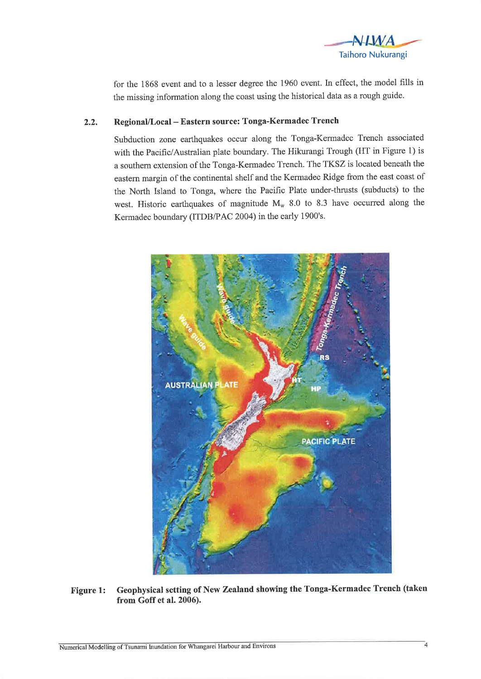

for the 1868 event and to a lesser degree the 1960 event. In effect, the model fills in the missing information along the coast using the historical data as a rough guide.

## 2.2. Regional/Local - Eastern source: Tonga-Kermadec Trench

Subduction zone earthquakes occur along the Tonga-Kermadec Trench associated with the Pacific/Australian plate boundary. The Hikurangi Trough (HT in Figure 1) is a southern extension of the Tonga-Kermadec Trench. The TKSZ is located beneath the eastem margin of the continental shelf and the Kermadec Ridge from the east coast of the North Island to Tonga, where the Pacific Plate under-thrusts (subducts) to the west. Historic earthquakes of magnitude  $M_w$  8.0 to 8.3 have occurred along the Kermadec boundary (ITDB/PAC 2004) in the early 1900's.



Figure 1: Geophysical setting of New Zealand showing the Tonga-Kermadec Trench (taken from Goff et al. 2006).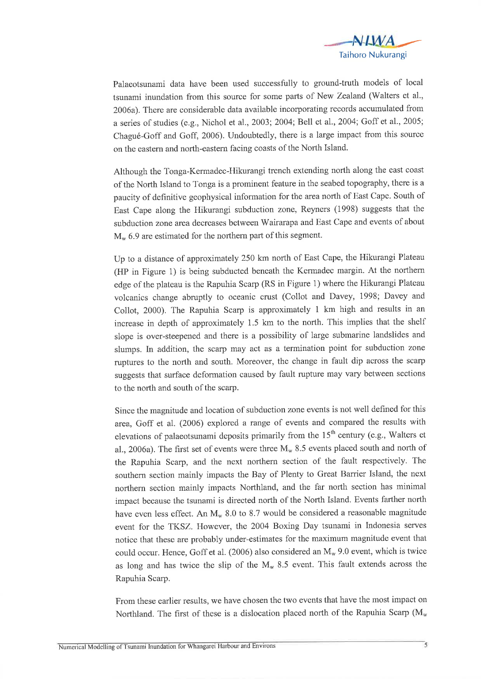

Palaeotsunami data have been used successfully to ground-truth models of local tsunami inundation from this source for some parts of New Zealand (Walters et al., 2006a). There are considerable data available incorporating records accumulated from a series of studies (e.g., Nichol et al., 2003;2004; Bell et a1.,2004; Goff et a1.,2005; Chagué-Goff and Goff, 2006). Undoubtedly, there is a large impact from this source on the eastern and north-eastern facing coasts of the North Island.

Although the Tonga-Kermadec-Hikurangi trench extending north along the east coast of the North Island to Tonga is a prominent feature in the seabed topography, there is a paucity of definitive geophysical information for the area north of East Cape. South of East Cape along the Hikurangi subduction zone, Reyners (1998) suggests that the subduction zone area decreases between Wairarapa and East Cape and events of about  $M_{w}$  6.9 are estimated for the northern part of this segment.

Up to a distance of approximately 250 km north of East Cape, the Hikurangi Plateau (HP in Figure 1) is being subducted beneath the Kermadec margin. At the northem edge of the plateau is the Rapuhia Scarp (RS in Figure 1) where the Hikurangi Plateau volcanics change abruptly to oceanic crust (Collot and Davey, 1998; Davey and Collot, 2000). The Rapuhia Scarp is approximately I km high and results in an increase in depth of approximately 1.5 km to the north. This implies that the shelf slope is over-steepened and there is a possibility of large submarine landslides and slumps. In addition, the scarp may act as a termination point for subduction zone ruptures to the north and south. Moreover, the change in fault dip across the scarp suggests that surface deformation caused by fault rupture may vary between sections to the north and south of the scarp.

Since the magnitude and location of subduction zone events is not well defined for this area, Goff et al. (2006) explored a range of events and compared the results with elevations of palaeotsunami deposits primarily from the  $15<sup>th</sup>$  century (e.g., Walters et al., 2006a). The first set of events were three  $M_w$  8.5 events placed south and north of the Rapuhia Scarp, and the next northern section of the fault respectively. The southern section mainly impacts the Bay of Plenty to Great Barrier Island, the next northern section mainly impacts Northland, and the far north section has minimal impact because the tsunami is directed north of the North Island. Events farther north have even less effect. An  $M_w$  8.0 to 8.7 would be considered a reasonable magnitude event for the TKSZ. However, the 2004 Boxing Day tsunami in lndonesia serves notice that these are probably under-estimates for the maximum magnitude event that could occur. Hence, Goff et al. (2006) also considered an  $M_w$  9.0 event, which is twice as long and has twice the slip of the  $M_w$  8.5 event. This fault extends across the Rapuhia Scarp.

From these earlier results, we have chosen the two events that have the most impact on Northland. The first of these is a dislocation placed north of the Rapuhia Scarp ( $M_w$ )